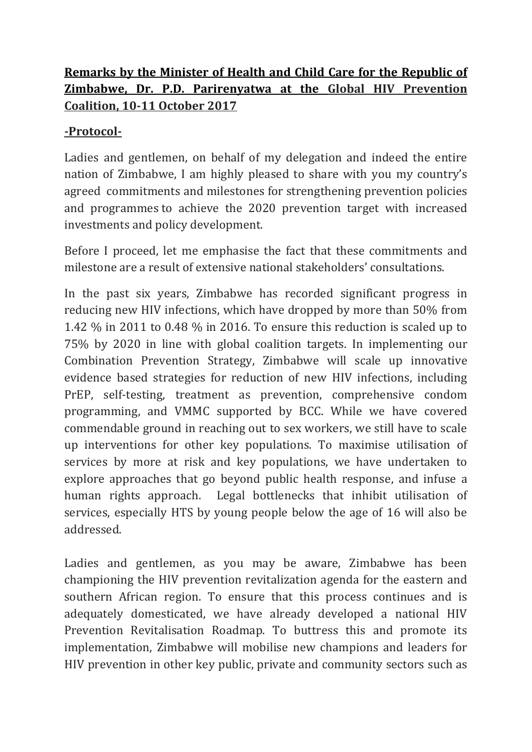## **Remarks by the Minister of Health and Child Care for the Republic of Zimbabwe, Dr. P.D. Parirenyatwa at the Global HIV Prevention Coalition, 10-11 October 2017**

## **-Protocol-**

Ladies and gentlemen, on behalf of my delegation and indeed the entire nation of Zimbabwe, I am highly pleased to share with you my country's agreed commitments and milestones for strengthening prevention policies and programmes to achieve the 2020 prevention target with increased investments and policy development.

Before I proceed, let me emphasise the fact that these commitments and milestone are a result of extensive national stakeholders' consultations.

In the past six years, Zimbabwe has recorded significant progress in reducing new HIV infections, which have dropped by more than 50% from 1.42 % in 2011 to 0.48 % in 2016. To ensure this reduction is scaled up to 75% by 2020 in line with global coalition targets. In implementing our Combination Prevention Strategy, Zimbabwe will scale up innovative evidence based strategies for reduction of new HIV infections, including PrEP, self-testing, treatment as prevention, comprehensive condom programming, and VMMC supported by BCC. While we have covered commendable ground in reaching out to sex workers, we still have to scale up interventions for other key populations. To maximise utilisation of services by more at risk and key populations, we have undertaken to explore approaches that go beyond public health response, and infuse a human rights approach. Legal bottlenecks that inhibit utilisation of services, especially HTS by young people below the age of 16 will also be addressed.

Ladies and gentlemen, as you may be aware, Zimbabwe has been championing the HIV prevention revitalization agenda for the eastern and southern African region. To ensure that this process continues and is adequately domesticated, we have already developed a national HIV Prevention Revitalisation Roadmap. To buttress this and promote its implementation, Zimbabwe will mobilise new champions and leaders for HIV prevention in other key public, private and community sectors such as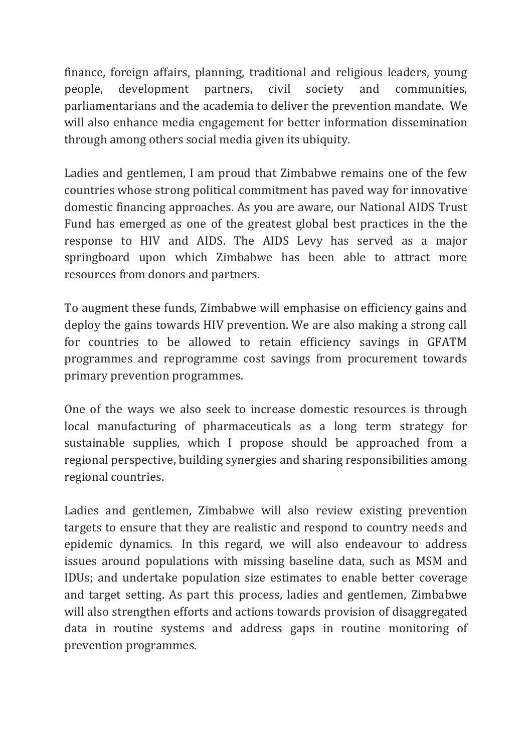finance, foreign affairs, planning, traditional and religious leaders, young people, development partners, civil society and communities, parliamentarians and the academia to deliver the prevention mandate. We will also enhance media engagement for better information dissemination through among others social media given its ubiquity.

Ladies and gentlemen, I am proud that Zimbabwe remains one of the few countries whose strong political commitment has paved way for innovative domestic financing approaches. As you are aware, our National AIDS Trust Fund has emerged as one of the greatest global best practices in the the response to HIV and AIDS. The AIDS Levy has served as a major springboard upon which Zimbabwe has been able to attract more resources from donors and partners.

To augment these funds, Zimbabwe will emphasise on efficiency gains and deploy the gains towards HIV prevention. We are also making a strong call for countries to be allowed to retain efficiency savings in GFATM programmes and reprogramme cost savings from procurement towards primary prevention programmes.

One of the ways we also seek to increase domestic resources is through local manufacturing of pharmaceuticals as a long term strategy for sustainable supplies, which I propose should be approached from a regional perspective, building synergies and sharing responsibilities among regional countries.

Ladies and gentlemen, Zimbabwe will also review existing prevention targets to ensure that they are realistic and respond to country needs and epidemic dynamics. In this regard, we will also endeavour to address issues around populations with missing baseline data, such as MSM and IDUs; and undertake population size estimates to enable better coverage and target setting. As part this process, ladies and gentlemen, Zimbabwe will also strengthen efforts and actions towards provision of disaggregated data in routine systems and address gaps in routine monitoring of prevention programmes.